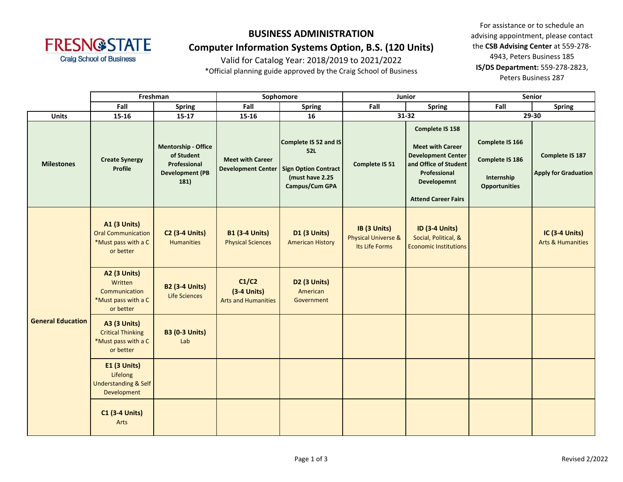

# **Computer Information Systems Option, B.S. (120 Units)**

Valid for Catalog Year: 2018/2019 to 2021/2022

\*Official planning guide approved by the Craig School of Business

|                          | Freshman                                                                             |                                                                                            | Sophomore                                            |                                                                                                         | Junior                                                           |                                                                                                                                                                             | Senior                                                                   |                                                       |
|--------------------------|--------------------------------------------------------------------------------------|--------------------------------------------------------------------------------------------|------------------------------------------------------|---------------------------------------------------------------------------------------------------------|------------------------------------------------------------------|-----------------------------------------------------------------------------------------------------------------------------------------------------------------------------|--------------------------------------------------------------------------|-------------------------------------------------------|
|                          | Fall                                                                                 | <b>Spring</b>                                                                              | Fall                                                 | <b>Spring</b>                                                                                           | Fall                                                             | <b>Spring</b>                                                                                                                                                               | Fall                                                                     | <b>Spring</b>                                         |
| <b>Units</b>             | $15 - 16$                                                                            | $15 - 17$                                                                                  | 15-16                                                | 16                                                                                                      | 31-32                                                            |                                                                                                                                                                             | 29-30                                                                    |                                                       |
| <b>Milestones</b>        | <b>Create Synergy</b><br>Profile                                                     | <b>Mentorship - Office</b><br>of Student<br>Professional<br><b>Development (PB</b><br>181) | <b>Meet with Career</b><br><b>Development Center</b> | Complete IS 52 and IS<br><b>52L</b><br><b>Sign Option Contract</b><br>(must have 2.25<br>Campus/Cum GPA | Complete IS 51                                                   | <b>Complete IS 158</b><br><b>Meet with Career</b><br><b>Development Center</b><br>and Office of Student<br>Professional<br><b>Developemnt</b><br><b>Attend Career Fairs</b> | Complete IS 166<br>Complete IS 186<br>Internship<br><b>Opportunities</b> | Complete IS 187<br><b>Apply for Graduation</b>        |
| <b>General Education</b> | <b>A1 (3 Units)</b><br><b>Oral Communication</b><br>*Must pass with a C<br>or better | <b>C2 (3-4 Units)</b><br><b>Humanities</b>                                                 | <b>B1 (3-4 Units)</b><br><b>Physical Sciences</b>    | <b>D1 (3 Units)</b><br><b>American History</b>                                                          | IB (3 Units)<br><b>Physical Universe &amp;</b><br>Its Life Forms | <b>ID (3-4 Units)</b><br>Social, Political, &<br><b>Economic Institutions</b>                                                                                               |                                                                          | <b>IC (3-4 Units)</b><br><b>Arts &amp; Humanities</b> |
|                          | <b>A2 (3 Units)</b><br>Written<br>Communication<br>*Must pass with a C<br>or better  | <b>B2 (3-4 Units)</b><br>Life Sciences                                                     | C1/C2<br>$(3-4$ Units)<br><b>Arts and Humanities</b> | D <sub>2</sub> (3 Units)<br>American<br>Government                                                      |                                                                  |                                                                                                                                                                             |                                                                          |                                                       |
|                          | <b>A3 (3 Units)</b><br><b>Critical Thinking</b><br>*Must pass with a C<br>or better  | <b>B3 (0-3 Units)</b><br>Lab                                                               |                                                      |                                                                                                         |                                                                  |                                                                                                                                                                             |                                                                          |                                                       |
|                          | <b>E1 (3 Units)</b><br>Lifelong<br><b>Understanding &amp; Self</b><br>Development    |                                                                                            |                                                      |                                                                                                         |                                                                  |                                                                                                                                                                             |                                                                          |                                                       |
|                          | <b>C1 (3-4 Units)</b><br>Arts                                                        |                                                                                            |                                                      |                                                                                                         |                                                                  |                                                                                                                                                                             |                                                                          |                                                       |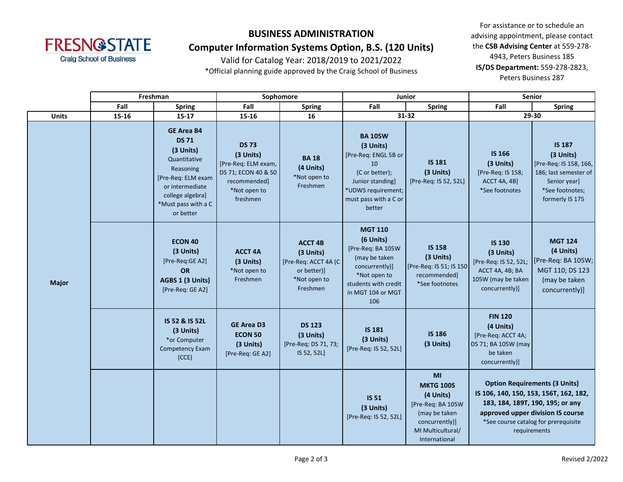

### **Computer Information Systems Option, B.S. (120 Units)**

Valid for Catalog Year: 2018/2019 to 2021/2022

\*Official planning guide approved by the Craig School of Business

|              | Freshman              |                                                                                                                                                                              | Sophomore                                                                                                           |                                                                                                |                                                                                                                                                          | Junior                                                                                                                            | Senior                                                                                                                                                                                                          |                                                                                                                                     |  |
|--------------|-----------------------|------------------------------------------------------------------------------------------------------------------------------------------------------------------------------|---------------------------------------------------------------------------------------------------------------------|------------------------------------------------------------------------------------------------|----------------------------------------------------------------------------------------------------------------------------------------------------------|-----------------------------------------------------------------------------------------------------------------------------------|-----------------------------------------------------------------------------------------------------------------------------------------------------------------------------------------------------------------|-------------------------------------------------------------------------------------------------------------------------------------|--|
|              | Fall<br><b>Spring</b> |                                                                                                                                                                              | Fall<br><b>Spring</b>                                                                                               |                                                                                                | Fall<br><b>Spring</b>                                                                                                                                    |                                                                                                                                   | Fall                                                                                                                                                                                                            | <b>Spring</b>                                                                                                                       |  |
| <b>Units</b> | 15-16                 | $15 - 17$                                                                                                                                                                    | 15-16                                                                                                               | 16                                                                                             | 31-32                                                                                                                                                    | 29-30                                                                                                                             |                                                                                                                                                                                                                 |                                                                                                                                     |  |
| <b>Major</b> |                       | <b>GE Area B4</b><br><b>DS 71</b><br>(3 Units)<br>Quantitative<br>Reasoning<br>[Pre-Req: ELM exam<br>or intermediate<br>college algebra]<br>*Must pass with a C<br>or better | <b>DS 73</b><br>(3 Units)<br>[Pre-Req: ELM exam,<br>DS 71; ECON 40 & 50<br>recommended]<br>*Not open to<br>freshmen | <b>BA18</b><br>(4 Units)<br>*Not open to<br>Freshmen                                           | <b>BA 105W</b><br>(3 Units)<br>[Pre-Req: ENGL 5B or<br>10<br>(C or better);<br>Junior standing]<br>*UDWS requirement;<br>must pass with a C or<br>better | <b>IS 181</b><br>(3 Units)<br>[Pre-Req: IS 52, 52L]                                                                               | <b>IS 166</b><br>(3 Units)<br>[Pre-Req: IS 158;<br><b>ACCT 4A, 4B]</b><br>*See footnotes                                                                                                                        | <b>IS 187</b><br>(3 Units)<br>[Pre-Req: IS 158, 166,<br>186; last semester of<br>Senior year]<br>*See footnotes;<br>formerly IS 175 |  |
|              |                       | <b>ECON 40</b><br>(3 Units)<br>[Pre-Req:GE A2]<br>OR<br>AGBS 1 (3 Units)<br>[Pre-Req: GE A2]                                                                                 | <b>ACCT 4A</b><br>(3 Units)<br>*Not open to<br>Freshmen                                                             | <b>ACCT 4B</b><br>(3 Units)<br>[Pre-Req: ACCT 4A (C<br>or better)]<br>*Not open to<br>Freshmen | <b>MGT 110</b><br>(6 Units)<br>[Pre-Req: BA 105W<br>(may be taken<br>concurrently)]<br>*Not open to<br>students with credit<br>in MGT 104 or MGT<br>106  | <b>IS 158</b><br>(3 Units)<br>[Pre-Req: IS 51; IS 150]<br>recommended]<br>*See footnotes                                          | <b>IS 130</b><br>(3 Units)<br>[Pre-Req: IS 52, 52L;<br>ACCT 4A, 4B; BA<br>105W (may be taken<br>concurrently)]                                                                                                  | <b>MGT 124</b><br>(4 Units)<br>[Pre-Req: BA 105W;<br>MGT 110; DS 123<br>(may be taken<br>concurrently)]                             |  |
|              |                       | IS 52 & IS 52L<br>(3 Units)<br>*or Computer<br><b>Competency Exam</b><br>(CCE)                                                                                               | <b>GE Area D3</b><br><b>ECON 50</b><br>(3 Units)<br>[Pre-Req: GE A2]                                                | <b>DS 123</b><br>(3 Units)<br>[Pre-Req: DS 71, 73;<br>IS 52, 52L]                              | <b>IS 181</b><br>(3 Units)<br>[Pre-Req: IS 52, 52L]                                                                                                      | <b>IS 186</b><br>(3 Units)                                                                                                        | <b>FIN 120</b><br>(4 Units)<br>[Pre-Req: ACCT 4A;<br>DS 71; BA 105W (may<br>be taken<br>concurrently)]                                                                                                          |                                                                                                                                     |  |
|              |                       |                                                                                                                                                                              |                                                                                                                     |                                                                                                | <b>IS 51</b><br>(3 Units)<br>[Pre-Req: IS 52, 52L]                                                                                                       | MI<br><b>MKTG 100S</b><br>(4 Units)<br>[Pre-Req: BA 105W<br>(may be taken<br>concurrently)]<br>MI Multicultural/<br>International | <b>Option Requirements (3 Units)</b><br>IS 106, 140, 150, 153, 156T, 162, 182,<br>183, 184, 189T, 190, 195; or any<br>approved upper division IS course<br>*See course catalog for prerequisite<br>requirements |                                                                                                                                     |  |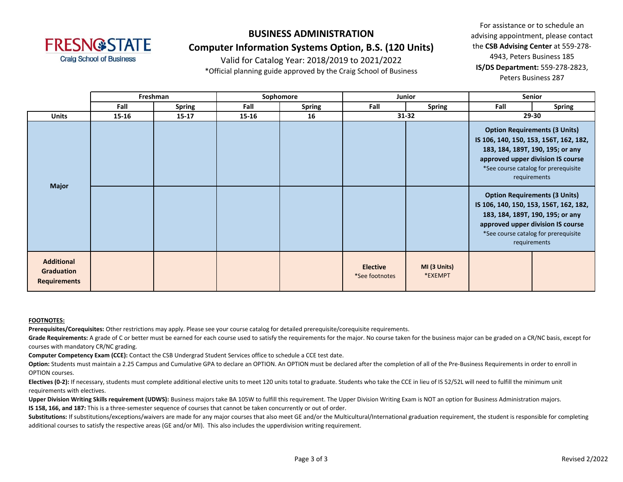

### **BUSINESS ADMINISTRATION Computer Information Systems Option, B.S. (120 Units)**

Valid for Catalog Year: 2018/2019 to 2021/2022

\*Official planning guide approved by the Craig School of Business

For assistance or to schedule an advising appointment, please contact the **CSB Advising Center** at 559-278- 4943, Peters Business 185 **IS/DS Department:** 559-278-2823, Peters Business 287

|                                                        |       | Freshman<br>Sophomore<br><b>Junior</b> |       |               | <b>Senior</b>                     |                         |                                                                            |                                                                                                                                                                             |
|--------------------------------------------------------|-------|----------------------------------------|-------|---------------|-----------------------------------|-------------------------|----------------------------------------------------------------------------|-----------------------------------------------------------------------------------------------------------------------------------------------------------------------------|
|                                                        | Fall  | <b>Spring</b>                          | Fall  | <b>Spring</b> | Fall                              | <b>Spring</b>           | Fall                                                                       | <b>Spring</b>                                                                                                                                                               |
| <b>Units</b>                                           | 15-16 | $15 - 17$                              | 15-16 | 16            |                                   | $31 - 32$               |                                                                            | 29-30                                                                                                                                                                       |
| <b>Major</b>                                           |       |                                        |       |               |                                   |                         | 183, 184, 189T, 190, 195; or any                                           | <b>Option Requirements (3 Units)</b><br>IS 106, 140, 150, 153, 156T, 162, 182,<br>approved upper division IS course<br>*See course catalog for prerequisite<br>requirements |
|                                                        |       |                                        |       |               |                                   |                         | IS 106, 140, 150, 153, 156T, 162, 182,<br>183, 184, 189T, 190, 195; or any | <b>Option Requirements (3 Units)</b><br>approved upper division IS course<br>*See course catalog for prerequisite<br>requirements                                           |
| <b>Additional</b><br>Graduation<br><b>Requirements</b> |       |                                        |       |               | <b>Elective</b><br>*See footnotes | MI (3 Units)<br>*EXEMPT |                                                                            |                                                                                                                                                                             |

#### **FOOTNOTES:**

**Prerequisites/Corequisites:** Other restrictions may apply. Please see your course catalog for detailed prerequisite/corequisite requirements.

Grade Requirements: A grade of C or better must be earned for each course used to satisfy the requirements for the major. No course taken for the business major can be graded on a CR/NC basis, except for courses with mandatory CR/NC grading.

**Computer Competency Exam (CCE):** Contact the CSB Undergrad Student Services office to schedule a CCE test date.

Option: Students must maintain a 2.25 Campus and Cumulative GPA to declare an OPTION. An OPTION must be declared after the completion of all of the Pre-Business Requirements in order to enroll in OPTION courses.

Electives (0-2): If necessary, students must complete additional elective units to meet 120 units total to graduate. Students who take the CCE in lieu of IS 52/52L will need to fulfill the minimum unit requirements with electives.

Upper Division Writing Skills requirement (UDWS): Business majors take BA 105W to fulfill this requirement. The Upper Division Writing Exam is NOT an option for Business Administration majors. **IS 158, 166, and 187:** This is a three-semester sequence of courses that cannot be taken concurrently or out of order.

Substitutions: If substitutions/exceptions/waivers are made for any major courses that also meet GE and/or the Multicultural/International graduation requirement, the student is responsible for completing additional courses to satisfy the respective areas (GE and/or MI). This also includes the upperdivision writing requirement.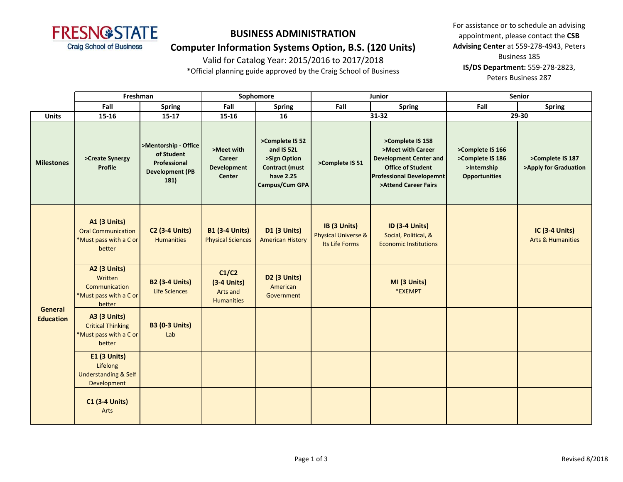

### **Computer Information Systems Option, B.S. (120 Units)**

Valid for Catalog Year: 2015/2016 to 2017/2018

\*Official planning guide approved by the Craig School of Business

|                             | Freshman                                                                             |                                                                                      | Sophomore                                                          |                                                                                                       |                                                       | Junior                                                                                                                                                        | Senior                                                                      |                                                       |  |
|-----------------------------|--------------------------------------------------------------------------------------|--------------------------------------------------------------------------------------|--------------------------------------------------------------------|-------------------------------------------------------------------------------------------------------|-------------------------------------------------------|---------------------------------------------------------------------------------------------------------------------------------------------------------------|-----------------------------------------------------------------------------|-------------------------------------------------------|--|
|                             | Fall                                                                                 | <b>Spring</b>                                                                        | Fall                                                               | <b>Spring</b>                                                                                         | Fall                                                  | <b>Spring</b>                                                                                                                                                 | Fall                                                                        | <b>Spring</b>                                         |  |
| <b>Units</b>                | 15-16                                                                                | $15 - 17$                                                                            | 15-16                                                              | 16                                                                                                    |                                                       | 31-32                                                                                                                                                         | 29-30                                                                       |                                                       |  |
| <b>Milestones</b>           | >Create Synergy<br>Profile                                                           | >Mentorship - Office<br>of Student<br>Professional<br><b>Development (PB</b><br>181) | >Meet with<br><b>Career</b><br><b>Development</b><br><b>Center</b> | >Complete IS 52<br>and IS 52L<br>>Sign Option<br><b>Contract (must</b><br>have 2.25<br>Campus/Cum GPA | >Complete IS 51                                       | >Complete IS 158<br>>Meet with Career<br><b>Development Center and</b><br><b>Office of Student</b><br><b>Professional Developemnt</b><br>>Attend Career Fairs | >Complete IS 166<br>>Complete IS 186<br>>Internship<br><b>Opportunities</b> | >Complete IS 187<br>>Apply for Graduation             |  |
| General<br><b>Education</b> | <b>A1 (3 Units)</b><br><b>Oral Communication</b><br>*Must pass with a C or<br>better | <b>C2 (3-4 Units)</b><br><b>Humanities</b>                                           | <b>B1 (3-4 Units)</b><br><b>Physical Sciences</b>                  | <b>D1 (3 Units)</b><br><b>American History</b>                                                        | IB (3 Units)<br>Physical Universe &<br>Its Life Forms | <b>ID (3-4 Units)</b><br>Social, Political, &<br><b>Economic Institutions</b>                                                                                 |                                                                             | <b>IC (3-4 Units)</b><br><b>Arts &amp; Humanities</b> |  |
|                             | A2 (3 Units)<br>Written<br>Communication<br>*Must pass with a C or<br>better         | <b>B2 (3-4 Units)</b><br><b>Life Sciences</b>                                        | C1/C2<br>$(3-4$ Units)<br>Arts and<br><b>Humanities</b>            | D2 (3 Units)<br>American<br>Government                                                                |                                                       | MI (3 Units)<br>*EXEMPT                                                                                                                                       |                                                                             |                                                       |  |
|                             | <b>A3 (3 Units)</b><br><b>Critical Thinking</b><br>*Must pass with a C or<br>better  | <b>B3 (0-3 Units)</b><br>Lab                                                         |                                                                    |                                                                                                       |                                                       |                                                                                                                                                               |                                                                             |                                                       |  |
|                             | <b>E1 (3 Units)</b><br>Lifelong<br><b>Understanding &amp; Self</b><br>Development    |                                                                                      |                                                                    |                                                                                                       |                                                       |                                                                                                                                                               |                                                                             |                                                       |  |
|                             | <b>C1 (3-4 Units)</b><br>Arts                                                        |                                                                                      |                                                                    |                                                                                                       |                                                       |                                                                                                                                                               |                                                                             |                                                       |  |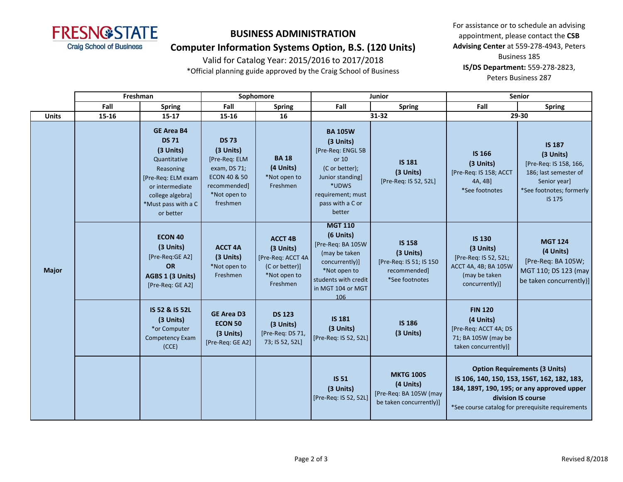

### **Computer Information Systems Option, B.S. (120 Units)**

Valid for Catalog Year: 2015/2016 to 2017/2018

\*Official planning guide approved by the Craig School of Business

|              | Freshman |                                                                                                                                                                              | Sophomore                                                                                                                         |                                                                                                | <b>Junior</b>                                                                                                                                               |                                                                                         | <b>Senior</b>                                                                                                  |                                                                                                                                                                                                              |  |
|--------------|----------|------------------------------------------------------------------------------------------------------------------------------------------------------------------------------|-----------------------------------------------------------------------------------------------------------------------------------|------------------------------------------------------------------------------------------------|-------------------------------------------------------------------------------------------------------------------------------------------------------------|-----------------------------------------------------------------------------------------|----------------------------------------------------------------------------------------------------------------|--------------------------------------------------------------------------------------------------------------------------------------------------------------------------------------------------------------|--|
|              | Fall     | <b>Spring</b>                                                                                                                                                                | Fall                                                                                                                              | <b>Spring</b>                                                                                  | Fall                                                                                                                                                        | <b>Spring</b>                                                                           | Fall                                                                                                           | <b>Spring</b>                                                                                                                                                                                                |  |
| <b>Units</b> | 15-16    | $15 - 17$                                                                                                                                                                    | $15 - 16$                                                                                                                         | 16                                                                                             |                                                                                                                                                             | 31-32                                                                                   | 29-30                                                                                                          |                                                                                                                                                                                                              |  |
|              |          | <b>GE Area B4</b><br><b>DS 71</b><br>(3 Units)<br>Quantitative<br>Reasoning<br>[Pre-Req: ELM exam<br>or intermediate<br>college algebra]<br>*Must pass with a C<br>or better | <b>DS 73</b><br>(3 Units)<br>[Pre-Req: ELM<br>exam, DS 71;<br><b>ECON 40 &amp; 50</b><br>recommended]<br>*Not open to<br>freshmen | <b>BA18</b><br>(4 Units)<br>*Not open to<br>Freshmen                                           | <b>BA 105W</b><br>(3 Units)<br>[Pre-Req: ENGL 5B<br>or 10<br>(C or better);<br>Junior standing]<br>*UDWS<br>requirement; must<br>pass with a C or<br>better | <b>IS 181</b><br>(3 Units)<br>[Pre-Req: IS 52, 52L]                                     | <b>IS 166</b><br>(3 Units)<br>[Pre-Req: IS 158; ACCT<br>4A, 4B]<br>*See footnotes                              | <b>IS 187</b><br>(3 Units)<br>[Pre-Req: IS 158, 166,<br>186; last semester of<br>Senior year]<br>*See footnotes; formerly<br>IS 175                                                                          |  |
| <b>Major</b> |          | <b>ECON 40</b><br>(3 Units)<br>[Pre-Req:GE A2]<br><b>OR</b><br>AGBS 1 (3 Units)<br>[Pre-Req: GE A2]                                                                          | <b>ACCT 4A</b><br>(3 Units)<br>*Not open to<br>Freshmen                                                                           | <b>ACCT 4B</b><br>(3 Units)<br>[Pre-Req: ACCT 4A<br>(C or better)]<br>*Not open to<br>Freshmen | <b>MGT 110</b><br>(6 Units)<br>[Pre-Req: BA 105W<br>(may be taken<br>concurrently)]<br>*Not open to<br>students with credit<br>in MGT 104 or MGT<br>106     | <b>IS 158</b><br>(3 Units)<br>[Pre-Req: IS 51; IS 150<br>recommended]<br>*See footnotes | <b>IS 130</b><br>(3 Units)<br>[Pre-Req: IS 52, 52L;<br>ACCT 4A, 4B; BA 105W<br>(may be taken<br>concurrently)] | <b>MGT 124</b><br>(4 Units)<br>[Pre-Req: BA 105W;<br>MGT 110; DS 123 (may<br>be taken concurrently)]                                                                                                         |  |
|              |          | IS 52 & IS 52L<br>(3 Units)<br>*or Computer<br><b>Competency Exam</b><br>(CCE)                                                                                               | <b>GE Area D3</b><br><b>ECON 50</b><br>(3 Units)<br>[Pre-Req: GE A2]                                                              | <b>DS 123</b><br>(3 Units)<br>[Pre-Req: DS 71,<br>73; IS 52, 52L]                              | <b>IS 181</b><br>(3 Units)<br>[Pre-Req: IS 52, 52L]                                                                                                         | <b>IS 186</b><br>(3 Units)                                                              | <b>FIN 120</b><br>(4 Units)<br>[Pre-Req: ACCT 4A; DS<br>71; BA 105W (may be<br>taken concurrently)]            |                                                                                                                                                                                                              |  |
|              |          |                                                                                                                                                                              |                                                                                                                                   |                                                                                                | <b>IS 51</b><br>(3 Units)<br>[Pre-Req: IS 52, 52L]                                                                                                          | <b>MKTG 100S</b><br>(4 Units)<br>[Pre-Req: BA 105W (may<br>be taken concurrently)]      |                                                                                                                | <b>Option Requirements (3 Units)</b><br>IS 106, 140, 150, 153, 156T, 162, 182, 183,<br>184, 189T, 190, 195; or any approved upper<br>division IS course<br>*See course catalog for prerequisite requirements |  |